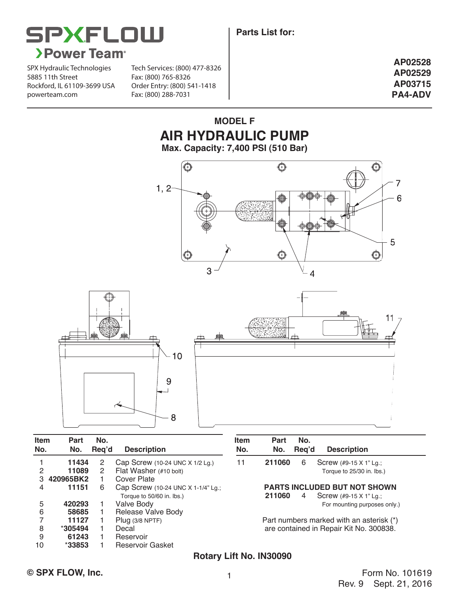



SPX Hydraulic Technologies 5885 11th Street Rockford, IL 61109-3699 USA powerteam.com Fax: (800) 288-7031

Tech Services: (800) 477-8326 Fax: (800) 765-8326 Order Entry: (800) 541-1418

**AP02528 AP02529 AP03715 PA4-ADV**

### **MODEL F AIR HYDRAULIC PUMP Max. Capacity: 7,400 PSI (510 Bar)**





| <b>Item</b><br>No. | Part<br>No. | No.<br>Reg'd | <b>Description</b>                                              | <b>Item</b><br>No. | <b>Part</b><br>No. | No.<br>Reg'd | <b>Description</b>                                            |
|--------------------|-------------|--------------|-----------------------------------------------------------------|--------------------|--------------------|--------------|---------------------------------------------------------------|
|                    | 11434       | 2            | Cap Screw (10-24 UNC X 1/2 Lg.)                                 | 11                 | 211060             | 6            | Screw (#9-15 X 1" Lg.;                                        |
| 2                  | 11089       | 2            | Flat Washer (#10 bolt)                                          |                    |                    |              | Torque to 25/30 in. lbs.)                                     |
|                    | 420965BK2   |              | Cover Plate                                                     |                    |                    |              |                                                               |
| 4                  | 11151       | 6            | Cap Screw (10-24 UNC X 1-1/4" Lg.;<br>Torque to 50/60 in. lbs.) |                    | 211060             | 4            | <b>PARTS INCLUDED BUT NOT SHOWN</b><br>Screw (#9-15 X 1" Lg.; |
| 5                  | 420293      |              | Valve Body                                                      |                    |                    |              | For mounting purposes only.)                                  |
| 6                  | 58685       |              | Release Valve Body                                              |                    |                    |              |                                                               |
|                    | 11127       |              | Plug $(3/8$ NPTF)                                               |                    |                    |              | Part numbers marked with an asterisk (*)                      |
| 8                  | *305494     |              | Decal                                                           |                    |                    |              | are contained in Repair Kit No. 300838.                       |
| 9                  | 61243       |              | Reservoir                                                       |                    |                    |              |                                                               |
| 10                 | $*33853$    |              | Reservoir Gasket                                                |                    |                    |              |                                                               |

#### **Rotary Lift No. IN30090**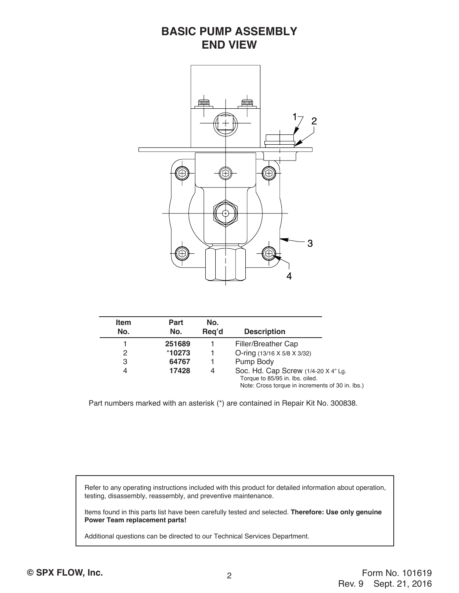## **BASIC PUMP ASSEMBLY END VIEW**



| <b>Item</b><br>No. | Part<br>No. | No.<br>Req'd | <b>Description</b>                                                                                                         |
|--------------------|-------------|--------------|----------------------------------------------------------------------------------------------------------------------------|
|                    | 251689      |              | Filler/Breather Cap                                                                                                        |
| 2                  | *10273      |              | O-ring (13/16 X 5/8 X 3/32)                                                                                                |
| 3                  | 64767       |              | Pump Body                                                                                                                  |
| 4                  | 17428       | 4            | Soc. Hd. Cap Screw (1/4-20 X 4" Lg.<br>Torque to 85/95 in. lbs. oiled.<br>Note: Cross torque in increments of 30 in. lbs.) |

Part numbers marked with an asterisk (\*) are contained in Repair Kit No. 300838.

 Refer to any operating instructions included with this product for detailed information about operation, testing, disassembly, reassembly, and preventive maintenance.

 Items found in this parts list have been carefully tested and selected. **Therefore: Use only genuine Power Team replacement parts!**

Additional questions can be directed to our Technical Services Department.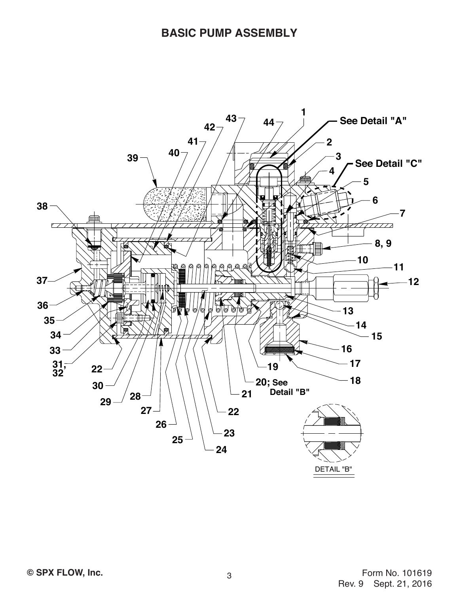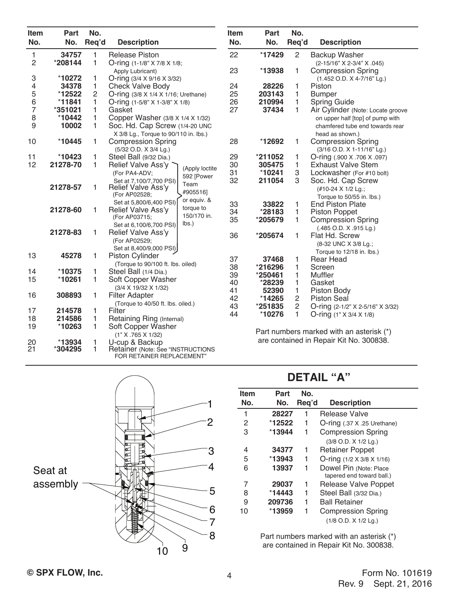| Item           | Part     | No.                                          |                                                            | Item                 | Part    | No.            |                                          |
|----------------|----------|----------------------------------------------|------------------------------------------------------------|----------------------|---------|----------------|------------------------------------------|
| No.            | No.      | Req'd                                        | <b>Description</b>                                         | No.                  | No.     | Req'd          | <b>Description</b>                       |
| $\mathbf{1}$   | 34757    | $\mathbf{1}$                                 | <b>Release Piston</b>                                      | 22                   | *17429  | $\overline{c}$ | <b>Backup Washer</b>                     |
| $\overline{c}$ | *208144  | 1                                            | O-ring (1-1/8" X 7/8 X 1/8;                                |                      |         |                | (2-15/16" X 2-3/4" X .045)               |
|                |          |                                              | Apply Lubricant)                                           | 23                   | *13938  | 1              | <b>Compression Spring</b>                |
| 3              | *10272   | 1                                            | O-ring (3/4 X 9/16 X 3/32)                                 |                      |         |                | (1.452 O.D. X 4-7/16" Lg.)               |
| 4              | 34378    | 1                                            | <b>Check Valve Body</b>                                    | 24                   | 28226   | 1              | Piston                                   |
| 5<br>6         | *12522   | $\overline{c}$                               | O-ring (3/8 X 1/4 X 1/16; Urethane)                        | 25                   | 203143  | $\mathbf{1}$   | <b>Bumper</b>                            |
|                | *11841   | 1                                            | O-ring $(1-5/8"$ X 1-3/8" X 1/8)                           | 26                   | 210994  | 1              | <b>Spring Guide</b>                      |
| $\overline{7}$ | *351021  | 1                                            | Gasket                                                     | 27                   | 37434   | $\mathbf{1}$   | Air Cylinder (Note: Locate groove        |
| 8              | *10442   | 1                                            | Copper Washer (3/8 X 1/4 X 1/32)                           |                      |         |                | on upper half [top] of pump with         |
| 9              |          | 10002<br>1<br>Soc. Hd. Cap Screw (1/4-20 UNC |                                                            |                      |         |                | chamfered tube end towards rear          |
|                |          |                                              | X 3/8 Lg., Torque to 90/110 in. lbs.)                      |                      |         |                | head as shown.)                          |
| 10             | *10445   | 1                                            | <b>Compression Spring</b>                                  | 28                   | *12692  | 1              | <b>Compression Spring</b>                |
|                |          |                                              | (5/32 O.D. X 3/4 Lg.)                                      |                      |         |                | (3/16 O.D. X 1-11/16" Lg.)               |
| 11             | *10423   | 1                                            | Steel Ball (9/32 Dia.)                                     | 29                   | *211052 | 1              | O-ring (.900 X .706 X .097)              |
| 12             | 21278-70 | 1                                            | Relief Valve Ass'y                                         | 30<br>(Apply loctite | 305475  | 1              | <b>Exhaust Valve Stem</b>                |
|                |          |                                              | (For PA4-ADV;<br>592 [Power                                | 31                   | *10241  | 3              | Lockwasher (For #10 bolt)                |
|                |          |                                              | Set at 7,100/7,700 PSI)<br>Team                            | 32                   | 211054  | 3              | Soc. Hd. Cap Screw                       |
|                | 21278-57 | 1                                            | Relief Valve Ass'y<br>#905516]                             |                      |         |                | (#10-24 X 1/2 Lg.;                       |
|                |          |                                              | (For AP02528;<br>or equiv. &                               |                      |         |                | Torque to 50/55 in. lbs.)                |
|                | 21278-60 | 1                                            | Set at 5,800/6,400 PSI)<br>torque to<br>Relief Valve Ass'y | 33                   | 33822   | 1              | <b>End Piston Plate</b>                  |
|                |          |                                              | 150/170 in.<br>(For AP03715;                               | 34                   | *28183  | 1              | <b>Piston Poppet</b>                     |
|                |          |                                              | lbs.<br>Set at 6,100/6,700 PSI)                            | 35                   | *205679 | 1              | <b>Compression Spring</b>                |
|                | 21278-83 | 1                                            | Relief Valve Ass'y                                         |                      |         |                | $(.485$ O.D. X $.915$ Lg.)               |
|                |          |                                              | (For AP02529;                                              | 36                   | *205674 | 1              | Flat Hd. Screw                           |
|                |          |                                              | Set at 8,400/9,000 PSI)                                    |                      |         |                | (8-32 UNC X 3/8 Lg.;                     |
| 13             | 45278    | 1                                            | <b>Piston Cylinder</b>                                     |                      |         |                | Torque to 12/18 in. lbs.)                |
|                |          |                                              | (Torque to 90/100 ft. lbs. oiled)                          | 37                   | 37468   | 1              | <b>Rear Head</b>                         |
| 14             | *10375   | 1                                            | Steel Ball (1/4 Dia.)                                      | 38                   | *216296 | 1              | Screen                                   |
| 15             | *10261   | 1                                            | Soft Copper Washer                                         | 39                   | *250461 | 1              | Muffler                                  |
|                |          |                                              | (3/4 X 19/32 X 1/32)                                       | 40                   | *28239  | 1              | Gasket                                   |
| 16             | 308893   | 1                                            | <b>Filter Adapter</b>                                      | 41                   | 52390   | 1              | Piston Body                              |
|                |          |                                              | (Torque to 40/50 ft. lbs. oiled.)                          | 42                   | *14265  | $\overline{c}$ | <b>Piston Seal</b>                       |
| 17             | 214578   | 1                                            | Filter                                                     | 43                   | *251835 | $\overline{c}$ | O-ring (2-1/2" X 2-5/16" X 3/32)         |
| 18             | 214586   | 1                                            | Retaining Ring (Internal)                                  | 44                   | *10276  | 1              | O-ring (1" X 3/4 X 1/8)                  |
| 19             | *10263   | 1                                            | Soft Copper Washer                                         |                      |         |                |                                          |
|                |          |                                              | (1" X .765 X 1/32)                                         |                      |         |                | Part numbers marked with an asterisk (*) |
| 20             | *13934   | 1                                            | U-cup & Backup                                             |                      |         |                | are contained in Repair Kit No. 300838.  |
| 21             | *304295  | 1                                            | Retainer (Note: See "INSTRUCTIONS                          |                      |         |                |                                          |
|                |          |                                              | FOR RETAINER REPLACEMENT"                                  |                      |         |                |                                          |



# **DETAIL "A"**

| 1  | Item<br>No. | Part<br>No. | No.<br>Req'd | <b>Description</b>                                  |
|----|-------------|-------------|--------------|-----------------------------------------------------|
|    | 1           | 28227       | 1            | <b>Release Valve</b>                                |
| 2  | 2           | *12522      | 1            | $O$ -ring $(.37 \times .25 \text{ Urethane})$       |
|    | 3           | *13944      | 1            | <b>Compression Spring</b>                           |
|    |             |             |              | (3/8 O.D. X 1/2 Lg.)                                |
| 3  | 4           | 34377       | 1            | <b>Retainer Poppet</b>                              |
|    | 5           | *13943      | 1            | O-ring $(1/2 \times 3/8 \times 1/16)$               |
| 4  | 6           | 13937       |              | Dowel Pin (Note: Place<br>tapered end toward ball.) |
|    |             | 29037       | 1            | Release Valve Poppet                                |
| :5 | 8           | *14443      | 1            | Steel Ball (3/32 Dia.)                              |
|    | 9           | 209736      | 1            | <b>Ball Retainer</b>                                |
| 6  | 10          | *13959      |              | <b>Compression Spring</b>                           |
|    |             |             |              | $(1/8$ O.D. $X$ $1/2$ Lg.)                          |

Part numbers marked with an asterisk (\*) are contained in Repair Kit No. 300838.